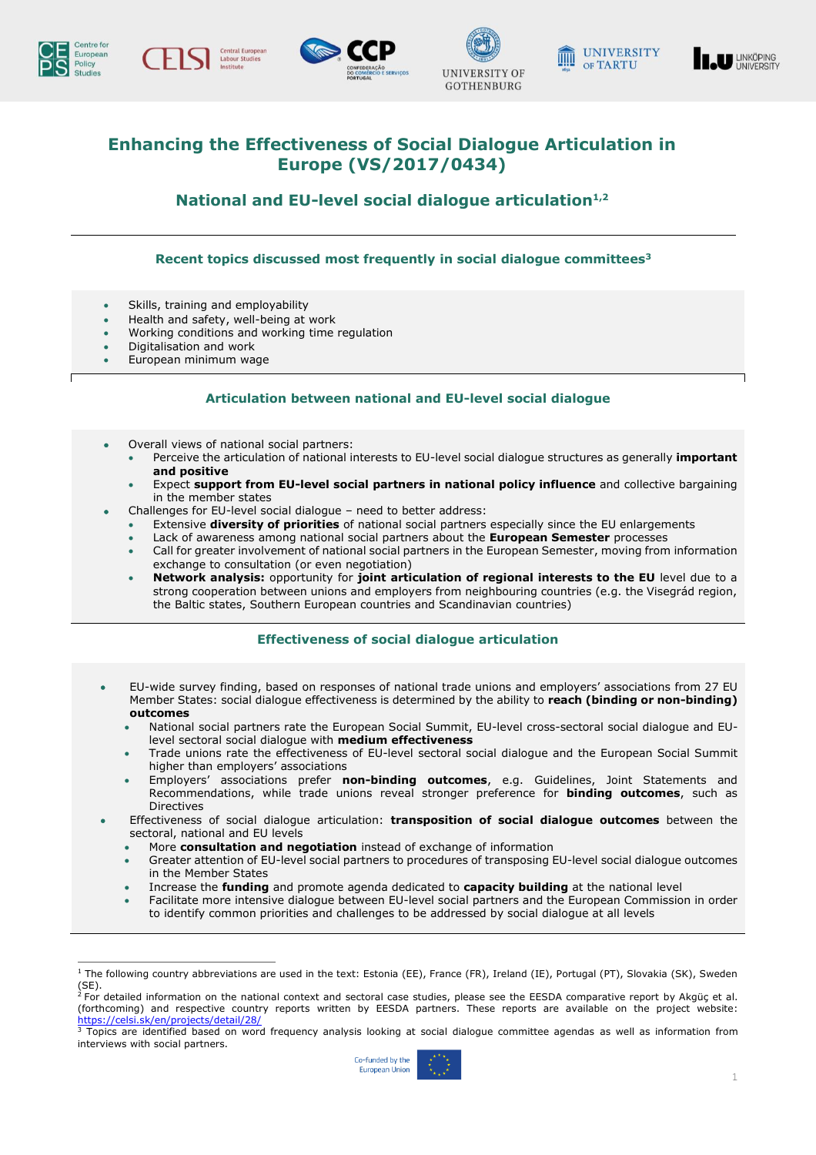

ł











# **Enhancing the Effectiveness of Social Dialogue Articulation in Europe (VS/2017/0434)**

**National and EU-level social dialogue articulation1,2**

## **Recent topics discussed most frequently in social dialogue committees 3**

- Skills, training and employability
- Health and safety, well-being at work
- Working conditions and working time regulation
- Digitalisation and work
- European minimum wage

### **Articulation between national and EU-level social dialogue**

- Overall views of national social partners:
	- Perceive the articulation of national interests to EU-level social dialogue structures as generally **important and positive**
	- Expect **support from EU-level social partners in national policy influence** and collective bargaining in the member states
	- Challenges for EU-level social dialogue need to better address:
		- Extensive **diversity of priorities** of national social partners especially since the EU enlargements
		- Lack of awareness among national social partners about the **European Semester** processes
		- Call for greater involvement of national social partners in the European Semester, moving from information exchange to consultation (or even negotiation)
	- **Network analysis:** opportunity for **joint articulation of regional interests to the EU** level due to a strong cooperation between unions and employers from neighbouring countries (e.g. the Visegrád region, the Baltic states, Southern European countries and Scandinavian countries)

### **Effectiveness of social dialogue articulation**

- EU-wide survey finding, based on responses of national trade unions and employers' associations from 27 EU Member States: social dialogue effectiveness is determined by the ability to **reach (binding or non-binding) outcomes**
	- National social partners rate the European Social Summit, EU-level cross-sectoral social dialogue and EUlevel sectoral social dialogue with **medium effectiveness**
	- Trade unions rate the effectiveness of EU-level sectoral social dialogue and the European Social Summit higher than employers' associations
	- Employers' associations prefer **non-binding outcomes**, e.g. Guidelines, Joint Statements and Recommendations, while trade unions reveal stronger preference for **binding outcomes**, such as **Directives**
	- Effectiveness of social dialogue articulation: **transposition of social dialogue outcomes** between the sectoral, national and EU levels
		- More **consultation and negotiation** instead of exchange of information
		- Greater attention of EU-level social partners to procedures of transposing EU-level social dialogue outcomes in the Member States
		- Increase the **funding** and promote agenda dedicated to **capacity building** at the national level
		- Facilitate more intensive dialogue between EU-level social partners and the European Commission in order to identify common priorities and challenges to be addressed by social dialogue at all levels

<sup>&</sup>lt;sup>3</sup> Topics are identified based on word frequency analysis looking at social dialogue committee agendas as well as information from interviews with social partners.



 $^{\rm 1}$  The following country abbreviations are used in the text: Estonia (EE), France (FR), Ireland (IE), Portugal (PT), Slovakia (SK), Sweden (SE).<br><sup>2</sup> For detailed information on the national context and sectoral case studies, please see the EESDA comparative report by Akgüç et al.

<sup>(</sup>forthcoming) and respective country reports written by EESDA partners. These reports are available on the project website: <https://celsi.sk/en/projects/detail/28/>